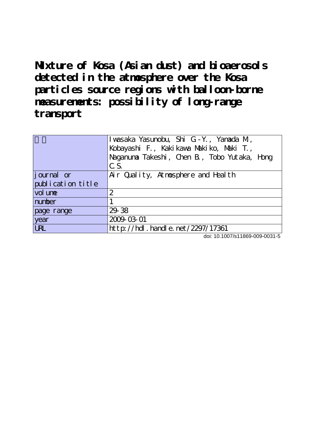**Mixture of Kosa (Asian dust) and bioaerosols detected in the atmosphere over the Kosa particles source regions with balloon-borne measurements: possibility of long-range transport**

|                   | I wasaka Yasunobu, Shi G - Y., Yanada M.,   |  |  |  |
|-------------------|---------------------------------------------|--|--|--|
|                   | Kobayashi F., Kaki kawa Maki ko, Maki T.,   |  |  |  |
|                   | Naganuna Takeshi, Chen B, Tobo Yutaka, Hong |  |  |  |
|                   | C.S.                                        |  |  |  |
| journal or        | Air Quality, Atmosphere and Health          |  |  |  |
| publication title |                                             |  |  |  |
| vol une           | $\overline{\mathcal{Z}}$                    |  |  |  |
| number            |                                             |  |  |  |
| page range        | 29.38                                       |  |  |  |
| year              | 2009-03-01                                  |  |  |  |
| <b>URL</b>        | $http$ : //hdl. handle. net /2297/17361     |  |  |  |

doi: 10.1007/s11869-009-0031-5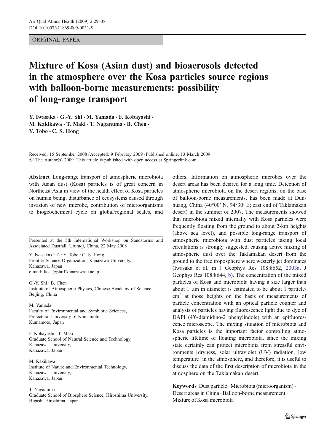## ORIGINAL PAPER

# Mixture of Kosa (Asian dust) and bioaerosols detected in the atmosphere over the Kosa particles source regions with balloon-borne measurements: possibility of long-range transport

Y. Iwasaka · G.-Y. Shi · M. Yamada · F. Kobayashi · M. Kakikawa · T. Maki · T. Naganuma · B. Chen · Y. Tobo  $\cdot$  C. S. Hong

Received: 15 September 2008 /Accepted: 9 February 2009 / Published online: 13 March 2009  $\circ$  The Author(s) 2009. This article is published with open access at Springerlink.com

Abstract Long-range transport of atmospheric microbiota with Asian dust (Kosa) particles is of great concern in Northeast Asia in view of the health effect of Kosa particles on human being, disturbance of ecosystems caused through invasion of new microbe, contribution of microorganisms to biogeochemical cycle on global/regional scales, and

Presented at the 5th International Workshop on Sandstorms and Associated Dustfall, Urumqi, China, 22 May 2008

Y. Iwasaka ( $\boxtimes$ ) · Y. Tobo · C. S. Hong Frontier Science Organization, Kanazawa University, Kanazawa, Japan e-mail: kosa@staff.kanazawa-u.ac.jp

G.-Y. Shi : B. Chen Institute of Atmospheric Physics, Chinese Academy of Science, Beijing, China

M. Yamada Faculty of Environmental and Symbiotic Sciences, Prefectural University of Kumamoto, Kumamoto, Japan

F. Kobayashi : T. Maki Graduate School of Natural Science and Technology, Kanazawa University, Kanazawa, Japan

M. Kakikawa Institute of Nature and Environmental Technology, Kanazawa University, Kanazawa, Japan

#### T. Naganuma

Graduate School of Biosphere Science, Hiroshima University, Higashi-Hiroshima, Japan

others. Information on atmospheric microbes over the desert areas has been desired for a long time. Detection of atmospheric microbiota on the desert regions, on the base of balloon-borne measurements, has been made at Dunhuang, China (40°00′ N, 94°30′ E; east end of Taklamakan desert) in the summer of 2007. The measurements showed that microbiota mixed internally with Kosa particles were frequently floating from the ground to about 2-km heights (above sea level), and possible long-range transport of atmospheric microbiota with dust particles taking local circulations is strongly suggested, causing active mixing of atmospheric dust over the Taklamakan desert from the ground to the free troposphere where westerly jet dominates (Iwasaka et al. in J Geophys Res 108:8652, [2003a,](#page-9-0) J Geophys Res 108:8644, [b\)](#page-9-0). The concentration of the mixed particles of Kosa and microbiota having a size larger than about 1 μm in diameter is estimated to be about 1 particle/  $cm<sup>3</sup>$  at those heights on the basis of measurements of particle concentration with an optical particle counter and analysis of particles having fluorescence light due to dye of DAPI (4'6-diamidino-2 phenylindole) with an epifluorescence microscope. The mixing situation of microbiota and Kosa particles is the important factor controlling atmospheric lifetime of floating microbiota, since the mixing state certainly can protect microbiota from stressful environments [dryness, solar ultraviolet (UV) radiation, low temperature] in the atmosphere, and therefore, it is useful to discuss the data of the first description of microbiota in the atmosphere on the Taklamakan desert.

Keywords Dust particle . Microbiota (microorganism) . Desert areas in China . Balloon-borne measurement . Mixture of Kosa microbiota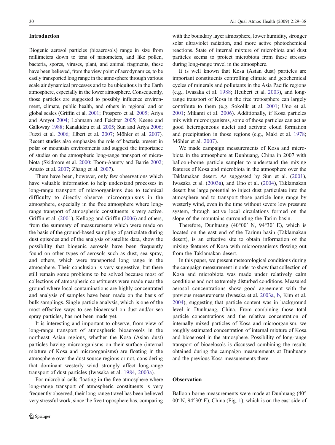## <span id="page-2-0"></span>Introduction

Biogenic aerosol particles (bioaerosols) range in size from millimeters down to tens of nanometers, and like pollen, bacteria, spores, viruses, plant, and animal fragments, these have been believed, from the view point of aerodynamics, to be easily transported long range in the atmosphere through various scale air dynamical processes and to be ubiquitous in the Earth atmosphere, especially in the lower atmosphere. Consequently, those particles are suggested to possibly influence environment, climate, public health, and others in regional and or global scales (Griffin et al. [2001;](#page-9-0) Prospero et al. [2005;](#page-10-0) Ariya and Amyot [2004;](#page-9-0) Lohmann and Feichter [2005](#page-10-0); Keene and Galloway [1988](#page-10-0); Kanakidou et al. [2005;](#page-10-0) Sun and Ariya [2006](#page-10-0); Fuzzi et al. [2006](#page-9-0); Elbert et al. [2007](#page-9-0); Möhler et al. [2007](#page-10-0)). Recent studies also emphasize the role of bacteria present in polar or mountain environments and suggest the importance of studies on the atmospheric long-range transport of microbiota (Skidmore et al. [2000](#page-10-0); Toom-Aaunty and Barrie [2002](#page-10-0); Amato et al. [2007;](#page-9-0) Zhang et al. [2007\)](#page-10-0).

There have been, however, only few observations which have valuable information to help understand processes in long-range transport of microorganisms due to technical difficulty to directly observe microorganisms in the atmosphere, especially in the free atmosphere where longrange transport of atmospheric constituents is very active. Griffin et al. ([2001\)](#page-9-0), Kellogg and Griffin [\(2006](#page-10-0)) and others, from the summary of measurements which were made on the basis of the ground-based sampling of particulate during dust episodes and of the analysis of satellite data, show the possibility that biogenic aerosols have been frequently found on other types of aerosols such as dust, sea spray, and others, which were transported long range in the atmosphere. Their conclusion is very suggestive, but there still remain some problems to be solved because most of collections of atmospheric constituents were made near the ground where local contaminations are highly concentrated and analysis of samples have been made on the basis of bulk samplings. Single particle analysis, which is one of the most effective ways to see bioaerosol on dust and/or sea spray particles, has not been made yet.

It is interesting and important to observe, from view of long-range transport of atmospheric bioaerosols in the northeast Asian regions, whether the Kosa (Asian dust) particles having microorganisms on their surface (internal mixture of Kosa and microorganisms) are floating in the atmosphere over the dust source regions or not, considering that dominant westerly wind strongly affect long-range transport of dust particles (Iwasaka et al. [1984,](#page-9-0) [2003a\)](#page-9-0).

For microbial cells floating in the free atmosphere where long-range transport of atmospheric constituents is very frequently observed, their long-range travel has been believed very stressful work, since the free troposphere has, comparing

with the boundary layer atmosphere, lower humidity, stronger solar ultraviolet radiation, and more active photochemical reactions. State of internal mixture of microbiota and dust particles seems to protect microbiota from these stresses during long-range travel in the atmosphere.

It is well known that Kosa (Asian dust) particles are important constituents controlling climate and geochemical cycles of minerals and pollutants in the Asia Pacific regions (e.g., Iwasaka et al. [1988;](#page-9-0) Heubert et al. [2003\)](#page-9-0), and longrange transport of Kosa in the free troposphere can largely contribute to them (e.g. Sokolik et al. [2001;](#page-10-0) Uno et al. [2001;](#page-10-0) Mikami et al. [2006\)](#page-10-0). Additionally, if Kosa particles mix with microorganisms, some of those particles can act as good heterogeneous nuclei and activate cloud formation and precipitation in those regions (e.g., Maki et al. [1978](#page-10-0); Möhler et al. [2007](#page-10-0)).

We made campaign measurements of Kosa and microbiota in the atmosphere at Dunhuang, China in 2007 with balloon-borne particle sampler to understand the mixing features of Kosa and microbiota in the atmosphere over the Taklamakan desert. As suggested by Sun et al. [\(2001](#page-10-0)), Iwasaka et al. [\(2003a\)](#page-9-0), and Uno et al. ([2004\)](#page-10-0), Taklamakan desert has large potential to inject dust particulate into the atmosphere and to transport those particle long range by westerly wind, even in the time without severe low pressure system, through active local circulations formed on the slope of the mountains surrounding the Tarim basin.

Therefore, Dunhuang (40°00′ N, 94°30′ E), which is located on the east end of the Tarimu basin (Taklamakan desert), is an effective site to obtain information of the mixing features of Kosa with microorganisms flowing out from the Taklamakan desert.

In this paper, we present meteorological conditions during the campaign measurement in order to show that collection of Kosa and microbiota was made under relatively calm conditions and not extremely disturbed conditions. Measured aerosol concentrations show good agreement with the previous measurements (Iwasaka et al. [2003a](#page-9-0), [b,](#page-9-0) Kim et al. [2004](#page-10-0)), suggesting that particle content was in background level in Dunhuang, China. From combining those total particle concentrations and the relative concentration of internally mixed particles of Kosa and microorganism, we roughly estimated concentration of internal mixture of Kosa and bioaerosol in the atmosphere. Possibility of long-range transport of bioaelosols is discussed combining the results obtained during the campaign measurements at Dunhuang and the previous Kosa measurements there.

#### **Observation**

Balloon-borne measurements were made at Dunhuang (40° 00′ N, 94°30′ E), China (Fig. [1](#page-3-0)), which is on the east side of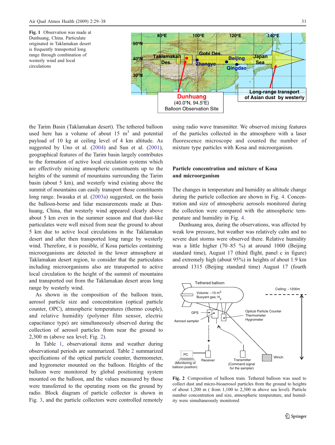<span id="page-3-0"></span>Fig. 1 Observation was made at Dunhuang, China. Particulate originated in Taklamakan desert is frequently transported long range through combination of westerly wind and local circulations



the Tarim Basin (Taklamakan desert). The tethered balloon used here has a volume of about  $15 \text{ m}^3$  and potential payload of 10 kg at ceiling level of 4 km altitude. As suggested by Uno et al. [\(2004](#page-10-0)) and Sun et al. [\(2001](#page-10-0)), geographical features of the Tarim basin largely contributes to the formation of active local circulation systems which are effectively mixing atmospheric constituents up to the heights of the summit of mountains surrounding the Tarim basin (about 5 km), and westerly wind existing above the summit of mountains can easily transport those constituents long range. Iwasaka et al. [\(2003a\)](#page-9-0) suggested, on the basis the balloon-borne and lidar measurements made at Dunhuang, China, that westerly wind appeared clearly above about 5 km even in the summer season and that dust-like particulates were well mixed from near the ground to about 5 km due to active local circulations in the Taklamakan desert and after then transported long range by westerly wind. Therefore, it is possible, if Kosa particles containing microorganisms are detected in the lower atmosphere at Taklamakan desert region, to consider that the particulates including microorganisms also are transported to active local circulation to the height of the summit of mountains and transported out from the Taklamakan desert areas long range by westerly wind.

As shown in the composition of the balloon train, aerosol particle size and concentration (optical particle counter, OPC), atmospheric temperatures (thermo couple), and relative humidity (polymer film sensor, electric capacitance type) are simultaneously observed during the collection of aerosol particles from near the ground to 2,300 m (above sea level; Fig. 2).

In Table [1](#page-4-0), observational items and weather during observational periods are summarized. Table [2](#page-4-0) summarized specifications of the optical particle counter, thermometer, and hygrometer mounted on the balloon. Heights of the balloon were monitored by global positioning system mounted on the balloon, and the values measured by those were transferred to the operating room on the ground by radio. Block diagram of particle collector is shown in Fig. [3,](#page-4-0) and the particle collectors were controlled remotely

using radio wave transmitter. We observed mixing features of the particles collected in the atmosphere with a laser fluorescence microscope and counted the number of mixture type particles with Kosa and microorganism.

# Particle concentration and mixture of Kosa and microorganism

The changes in temperature and humidity as altitude change during the particle collection are shown in Fig. [4.](#page-5-0) Concentration and size of atmospheric aerosols monitored during the collection were compared with the atmospheric temperature and humidity in Fig. [4.](#page-5-0)

Dunhuang area, during the observations, was affected by weak low pressure, but weather was relatively calm and no severe dust storms were observed there. Relative humidity was a little higher (70–85 %) at around 1000 (Beijing standard time), August 17 (third flight, panel c in figure) and extremely high (about 95%) in heights of about 1.9 km around 1315 (Beijing standard time) August 17 (fourth



Fig. 2 Composition of balloon train. Tethered balloon was used to collect dust and micro-bioaerosol particles from the ground to heights of about 1,200 m ( from 1,100 to 2,300 m above sea level). Particle number concentration and size, atmospheric temperature, and humidity were simultaneously monitored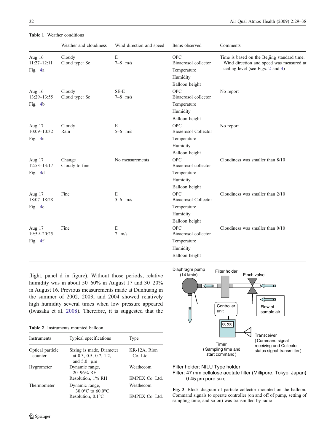<span id="page-4-0"></span>Table 1 Weather conditions

|                                      | Weather and cloudiness   | Wind direction and speed | Items observed                                                                         | Comments                                                                                                                     |
|--------------------------------------|--------------------------|--------------------------|----------------------------------------------------------------------------------------|------------------------------------------------------------------------------------------------------------------------------|
| Aug 16<br>$11:27 - 12:11$<br>Fig. 4a | Cloudy<br>Cloud type: Sc | $\mathbf E$<br>$7-8$ m/s | <b>OPC</b><br>Bioaerosol collector<br>Temperature<br>Humidity<br>Balloon height        | Time is based on the Beijing standard time.<br>Wind direction and speed was measured at<br>ceiling level (see Figs. 2 and 4) |
| Aug $16$<br>13:29-13:55<br>Fig. 4b   | Cloudy<br>Cloud type: Sc | $SE-E$<br>$7 - 8$ m/s    | <b>OPC</b><br>Bioaerosol collector<br>Temperature<br>Humidity<br>Balloon height        | No report                                                                                                                    |
| Aug 17<br>$10:09 - 10:32$<br>Fig. 4c | Cloudy<br>Rain           | E<br>$5-6$ m/s           | <b>OPC</b><br><b>Bioaerosol Collector</b><br>Temperature<br>Humidity<br>Balloon height | No report                                                                                                                    |
| Aug 17<br>$12:53 - 13:17$<br>Fig. 4d | Change<br>Cloudy to fine | No measurements          | <b>OPC</b><br>Bioaerosol collector<br>Temperature<br>Humidity<br>Balloon height        | Cloudiness was smaller than 8/10                                                                                             |
| Aug 17<br>$18:07 - 18:28$<br>Fig. 4e | Fine                     | E<br>$5-6$ m/s           | <b>OPC</b><br><b>Bioaerosol Collector</b><br>Temperature<br>Humidity<br>Balloon height | Cloudiness was smaller than $2/10$                                                                                           |
| Aug 17<br>19:59-20:25<br>Fig. 4f     | Fine                     | E<br>$7 \text{ m/s}$     | <b>OPC</b><br>Bioaerosol collector<br>Temperature<br>Humidity<br>Balloon height        | Cloudiness was smaller than $0/10$                                                                                           |

flight, panel d in figure). Without those periods, relative humidity was in about 50–60% in August 17 and 30–20% in August 16. Previous measurements made at Dunhuang in the summer of 2002, 2003, and 2004 showed relatively high humidity several times when low pressure appeared (Iwasaka et al. [2008\)](#page-10-0). Therefore, it is suggested that the

| Instruments                 | Typical specifications                                                | Type                     |
|-----------------------------|-----------------------------------------------------------------------|--------------------------|
| Optical particle<br>counter | Sizing is made, Diameter<br>at 0.3, 0.5, 0.7, 1.2,<br>and $5.0 \mu$ m | KR-12A, Rion<br>Co. Ltd. |
| Hygrometer                  | Dynamic range,<br>20-96% RH                                           | Weathecom                |
|                             | Resolution, 1% RH                                                     | EMPEX Co. Ltd.           |
| Thermometer                 | Dynamic range,<br>$-30.0$ °C to 60.0°C                                | Weathecom                |
|                             | Resolution, $0.1^{\circ}$ C                                           | EMPEX Co. Ltd.           |



## Filter holder: NILU Type holder

Filter: 47 mm cellulose acetate filter (Millipore, Tokyo, Japan) 0.45 µm pore size.

Fig. 3 Block diagram of particle collector mounted on the balloon. Command signals to operate controller (on and off of pump, setting of sampling time, and so on) was transmitted by radio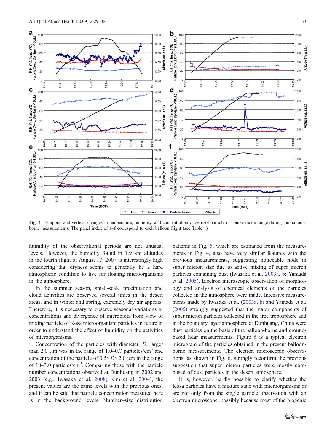<span id="page-5-0"></span>

Fig. 4 Temporal and vertical changes in temperature, humidity, and concentration of aerosol particle in course mode range during the balloonborne measurements. The panel index of a–f correspond to each balloon flight (see Table [1\)](#page-4-0)

humidity of the observational periods are not unusual levels. However, the humidity found in 1.9 km altitudes in the fourth flight of August 17, 2007 is interestingly high considering that dryness seems to generally be a hard atmospheric condition to live for floating microorganisms in the atmosphere.

In the summer season, small-scale precipitation and cloud activities are observed several times in the desert areas, and in winter and spring, extremely dry air appears. Therefore, it is necessary to observe seasonal variations in concentrations and divergence of microbiota from view of mixing particle of Kosa microorganism particles in future in order to understand the effect of humidity on the activities of microorganisms.

Concentration of the particles with diameter, D, larger than 2.0  $\mu$ m was in the range of 1.0–0.7 particles/cm<sup>3</sup> and concentration of the particle of  $0.5 \le D \le 2.0$  µm in the range of 10–3.0 particles/cm<sup>3</sup>. Comparing those with the particle number concentrations observed at Dunhuang in 2002 and 2003 (e.g., Iwasaka et al. [2008;](#page-10-0) Kim et al. [2004\)](#page-10-0), the present values are the same levels with the previous ones, and it can be said that particle concentration measured here is in the background levels. Number–size distribution

patterns in Fig. [5,](#page-6-0) which are estimated from the measurements in Fig. 4, also have very similar features with the previous measurements, suggesting noticeable node in super micron size due to active mixing of super micron particles containing dust (Iwasaka et al. [2003a,](#page-9-0) [b;](#page-9-0) Yamada et al. [2005\)](#page-10-0). Electron microscopic observation of morphology and analysis of chemical elements of the particles collected in the atmosphere were made. Intensive measurements made by Iwasaka et al. ([2003a](#page-9-0), [b\)](#page-9-0) and Yamada et al. [\(2005\)](#page-10-0) strongly suggested that the major components of super micron particles collected in the free troposphere and in the boundary layer atmosphere at Dunhuang, China were dust particles on the basis of the balloon-borne and groundbased lidar measurements. Figure [6](#page-6-0) is a typical electron microgram of the particles obtained in the present balloonborne measurements. The electron microscopic observations, as shown in Fig. [6,](#page-6-0) strongly reconfirm the previous suggestion that super micron particles were mostly composed of dust particles in the desert atmosphere.

It is, however, hardly possible to clarify whether the Kosa particles have a mixture state with microorganisms or are not only from the single particle observation with an electron microscope, possibly because most of the biogenic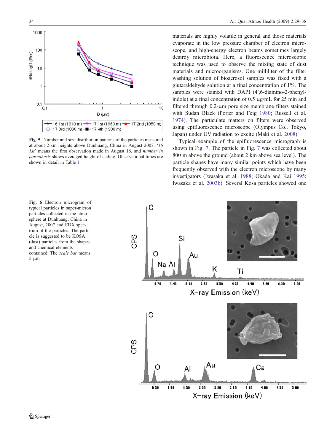<span id="page-6-0"></span>

Fig. 5 Number and size distribution patterns of the particles measured at about 2-km heights above Dunhuang, China in August 2007. '16 1st' means the first observation made in August 16, and number in parenthesis shows averaged height of ceiling. Observational times are shown in detail in Table [1](#page-4-0)

materials are highly volatile in general and those materials evaporate in the low pressure chamber of electron microscope, and high-energy electron beams sometimes largely destroy microbiota. Here, a fluorescence microscopic technique was used to observe the mixing state of dust materials and microorganisms. One milliliter of the filter washing solution of bioaerosol samples was fixed with a glutaraldehyde solution at a final concentration of 1%. The samples were stained with DAPI (4',6-diamino-2-phenylindole) at a final concentration of 0.5 μg/mL for 25 min and filtered through 0.2-μm pore size membrane filters stained with Sudan Black (Porter and Feig [1980](#page-10-0); Russell et al. [1974\)](#page-10-0). The particulate matters on filters were observed using epifluorescence microscope (Olympus Co., Tokyo, Japan) under UV radiation to excite (Maki et al. [2008\)](#page-10-0).

Typical example of the epifluorescence micrograph is shown in Fig. [7.](#page-7-0) The particle in Fig. [7](#page-7-0) was collected about 800 m above the ground (about 2 km above sea level). The particle shapes have many similar points which have been frequently observed with the electron microscope by many investigators (Iwasaka et al. [1988](#page-9-0); Okada and Kai [1995](#page-10-0); Iwasaka et al. [2003b](#page-9-0)). Several Kosa particles showed one

Fig. 6 Electron microgram of typical particles in super-micron particles collected in the atmosphere at Dunhuang, China in August, 2007 and EDX spectrum of the particles. The particle is suggested to be KOSA (dust) particles from the shapes and chemical elements contained. The scale bar means 5 μm

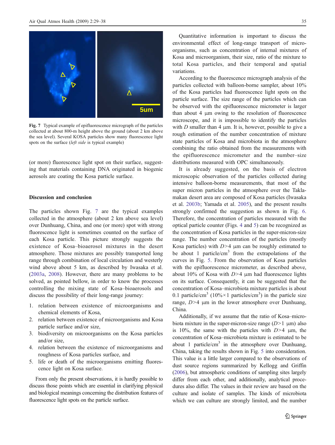<span id="page-7-0"></span>

Fig. 7 Typical example of epifluorescence micrograph of the particles collected at about 800-m height above the ground (about 2 km above the sea level). Several KOSA particles show many fluorescence light spots on the surface (left side is typical example)

(or more) fluorescence light spot on their surface, suggesting that materials containing DNA originated in biogenic aerosols are coating the Kosa particle surface.

#### Discussion and conclusion

The particles shown Fig. 7 are the typical examples collected in the atmosphere (about 2 km above sea level) over Dunhuang, China, and one (or more) spot with strong fluorescence light is sometimes counted on the surface of each Kosa particle. This picture strongly suggests the existence of Kosa–bioaerosol mixtures in the desert atmosphere. Those mixtures are possibly transported long range through combination of local circulation and westerly wind above about 5 km, as described by Iwasaka et al. ([2003a](#page-9-0), [2008](#page-10-0)). However, there are many problems to be solved, as pointed bellow, in order to know the processes controlling the mixing state of Kosa–bioaerosols and discuss the possibility of their long-range journey:

- 1. relation between existence of microorganisms and chemical elements of Kosa,
- 2. relation between existence of microorganisms and Kosa particle surface and/or size,
- 3. biodiversity on microorganisms on the Kosa particles and/or size,
- 4. relation between the existence of microorganisms and roughness of Kosa particles surface, and
- 5. life or death of the microorganisms emitting fluorescence light on Kosa surface.

From only the present observations, it is hardly possible to discuss those points which are essential in clarifying physical and biological meanings concerning the distribution features of fluorescence light spots on the particle surface.

Quantitative information is important to discuss the environmental effect of long-range transport of microorganisms, such as concentration of internal mixtures of Kosa and microorganism, their size, ratio of the mixture to total Kosa particles, and their temporal and spatial variations.

According to the fluorescence micrograph analysis of the particles collected with balloon-borne sampler, about 10% of the Kosa particles had fluorescence light spots on the particle surface. The size range of the particles which can be observed with the epifluorescence micrometer is larger than about 4 μm owing to the resolution of fluorescence microscope, and it is impossible to identify the particles with D smaller than 4  $\mu$ m. It is, however, possible to give a rough estimation of the number concentration of mixture state particles of Kosa and microbiota in the atmosphere combining the ratio obtained from the measurements with the epifluorescence micrometer and the number–size distributions measured with OPC simultaneously.

It is already suggested, on the basis of electron microscopic observation of the particles collected during intensive balloon-borne measurements, that most of the super micron particles in the atmosphere over the Taklamakan desert area are composed of Kosa particles (Iwasaka et al. [2003b](#page-9-0); Yamada et al. [2005](#page-10-0)), and the present results strongly confirmed the suggestion as shown in Fig. [6](#page-6-0). Therefore, the concentration of particles measured with the optical particle counter (Figs. [4](#page-5-0) and [5](#page-6-0)) can be recognized as the concentration of Kosa particles in the super-micron-size range. The number concentration of the particles (mostly Kosa particles) with  $D>4$  µm can be roughly estimated to be about 1 particle/ $\text{cm}^3$  from the extrapolations of the curves in Fig. [5](#page-6-0). From the observation of Kosa particles with the epifluorescence micrometer, as described above, about 10% of Kosa with  $D>4$  µm had fluorescence lights on its surface. Consequently, it can be suggested that the concentration of Kosa–microbiota mixture particles is about 0.1 particle/cm<sup>3</sup> (10% × 1 particles/cm<sup>3</sup>) in the particle size range,  $D > 4$  μm in the lower atmosphere over Dunhuang, China.

Additionally, if we assume that the ratio of Kosa–microbiota mixture in the super-micron-size range  $(D>1 \mu m)$  also is 10%, the same with the particles with  $D>4$  µm, the concentration of Kosa–microbiota mixture is estimated to be about 1 particle/ $\text{cm}^3$  in the atmosphere over Dunhuang, China, taking the results shown in Fig. [5](#page-6-0) into consideration. This value is a little larger compared to the observations of dust source regions summarized by Kellogg and Griffin [\(2006\)](#page-10-0), but atmospheric conditions of sampling sites largely differ from each other, and additionally, analytical procedures also differ. The values in their review are based on the culture and isolate of samples. The kinds of microbiota which we can culture are strongly limited, and the number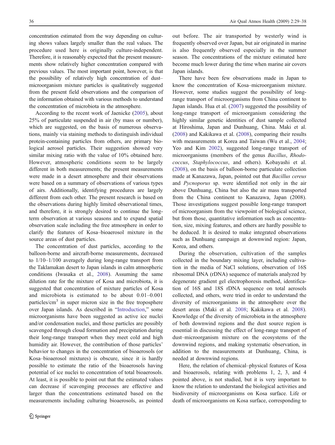concentration estimated from the way depending on culturing shows values largely smaller than the real values. The procedure used here is originally culture-independent. Therefore, it is reasonably expected that the present measurements show relatively higher concentration compared with previous values. The most important point, however, is that the possibility of relatively high concentration of dust– microorganism mixture particles is qualitatively suggested from the present field observations and the comparison of the information obtained with various methods to understand the concentration of microbiota in the atmosphere.

According to the recent work of Jaenicke ([2005\)](#page-10-0), about 25% of particulate suspended in air (by mass or number), which are suggested, on the basis of numerous observations, mainly via staining methods to distinguish individual protein-containing particles from others, are primary biological aerosol particles. Their suggestion showed very similar mixing ratio with the value of 10% obtained here. However, atmospheric conditions seem to be largely different in both measurements; the present measurements were made in a desert atmosphere and their observations were based on a summary of observations of various types of airs. Additionally, identifying procedures are largely different from each other. The present research is based on the observations during highly limited observational times, and therefore, it is strongly desired to continue the longterm observation at various seasons and to expand spatial observation scale including the free atmosphere in order to clarify the features of Kosa–bioaerosol mixture in the source areas of dust particles.

The concentration of dust particles, according to the balloon-borne and aircraft-borne measurements, decreased to 1/10–1/100 averagely during long-range transport from the Taklamakan desert to Japan islands in calm atmospheric conditions (Iwasaka et al., [2008\)](#page-10-0). Assuming the same dilution rate for the mixture of Kosa and microbiota, it is suggested that concentration of mixture particles of Kosa and microbiota is estimated to be about 0.01–0.001 particles/ $\text{cm}^3$  in super micron size in the free troposphere over Japan islands. As described in "[Introduction,](#page-2-0)" some microorganisms have been suggested as active ice nuclei and/or condensation nuclei, and those particles are possibly scavenged through cloud formation and precipitation during their long-range transport when they meet cold and high humidity air. However, the contribution of those particles' behavior to changes in the concentration of bioaerosols (or Kosa–bioaerosol mixtures) is obscure, since it is hardly possible to estimate the ratio of the bioaerosols having potential of ice nuclei to concentration of total bioaerosols. At least, it is possible to point out that the estimated values can decrease if scavenging processes are effective and larger than the concentrations estimated based on the measurements including culturing bioaerosols, as pointed out before. The air transported by westerly wind is frequently observed over Japan, but air originated in marine is also frequently observed especially in the summer season. The concentrations of the mixture estimated here become much lower during the time when marine air covers Japan islands.

There have been few observations made in Japan to know the concentration of Kosa–microorganism mixture. However, some studies suggest the possibility of longrange transport of microorganisms from China continent to Japan islands. Hua et al. ([2007\)](#page-9-0) suggested the possibility of long-range transport of microorganism considering the highly similar genetic identities of dust sample collected at Hiroshima, Japan and Dunhuang, China. Maki et al. [\(2008\)](#page-10-0) and Kakikawa et al. ([2008\)](#page-10-0), comparing their results with measurements at Korea and Taiwan (Wu et al., [2004](#page-10-0); Yeo and Kim [2002](#page-10-0)), suggested long-range transport of microorganisms (members of the genus Bacillus, Rhodococcus, Staphylococcus, and others). Kobayashi et al. [\(2008\)](#page-10-0), on the basis of balloon-borne particulate collection made at Kanazawa, Japan, pointed out that Bacillus cereus and Pycnoporus sp. were identified not only in the air above Dunhuang, China but also the air mass transported from the China continent to Kanazawa, Japan (2008). Those investigations suggest possible long-range transport of microorganism from the viewpoint of biological science, but from those, quantitative information such as concentration, size, mixing features, and others are hardly possible to be deduced. It is desired to make integrated observations such as Dunhuang campaign at downwind region: Japan, Korea, and others.

During the observation, cultivation of the samples collected in the boundary mixing layer, including cultivation in the media of NaCl solutions, observation of 16S ribosomal DNA (rDNA) sequence of materials analyzed by degenerate gradient gel electrophoresis method, identification of 16S and 18S rDNA sequence on total aerosols collected, and others, were tried in order to understand the diversity of microorganisms in the atmosphere over the desert areas (Maki et al. [2008](#page-10-0); Kakikawa et al. [2008](#page-10-0)). Knowledge of the diversity of microbiota in the atmosphere of both downwind regions and the dust source region is essential in discussing the effect of long-range transport of dust–microorganism mixture on the ecosystems of the downwind regions, and making systematic observation, in addition to the measurements at Dunhuang, China, is needed at downwind regions.

Here, the relation of chemical–physical features of Kosa and bioaerosols, relating with problems 1, 2, 3, and 4 pointed above, is not studied, but it is very important to know the relation to understand the biological activities and biodiversity of microorganisms on Kosa surface. Life or death of microorganisms on Kosa surface, corresponding to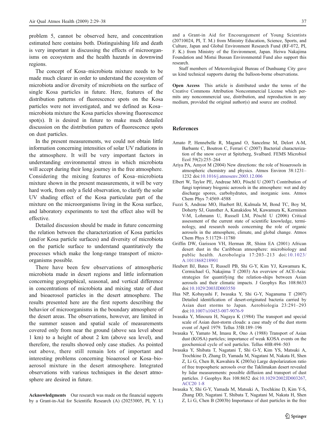<span id="page-9-0"></span>problem 5, cannot be observed here, and concentration estimated here contains both. Distinguishing life and death is very important in discussing the effects of microorganisms on ecosystem and the health hazards in downwind regions.

The concept of Kosa–microbiota mixture needs to be made much clearer in order to understand the ecosystem of microbiota and/or diversity of microbiota on the surface of single Kosa particles in future. Here, features of the distribution patterns of fluorescence spots on the Kosa particles were not investigated, and we defined as Kosa– microbiota mixture the Kosa particles showing fluorescence spot(s). It is desired in future to make much detailed discussion on the distribution patters of fluorescence spots on dust particles.

In the present measurements, we could not obtain little information concerning intensities of solar UV radiations in the atmosphere. It will be very important factors in understanding environmental stress in which microbiota will accept during their long journey in the free atmosphere. Considering the mixing features of Kosa–microbiota mixture shown in the present measurements, it will be very hard work, from only a field observation, to clarify the solar UV shading effect of the Kosa particulate part of the mixture on the microorganisms living in the Kosa surface, and laboratory experiments to test the effect also will be effective.

Detailed discussion should be made in future concerning the relation between the characterization of Kosa particles (and/or Kosa particle surfaces) and diversity of microbiota on the particle surface to understand quantitatively the processes which make the long-range transport of microorganisms possible.

There have been few observations of atmospheric microbiota made in desert regions and little information concerning geographical, seasonal, and vertical difference in concentrations of microbiota and mixing state of dust and bioaerosol particles in the desert atmosphere. The results presented here are the first reports describing the behavior of microorganisms in the boundary atmosphere of the desert areas. The observations, however, are limited in the summer season and spatial scale of measurements covered only from near the ground (above sea level about 1 km) to a height of about 2 km (above sea level), and therefore, the results showed only case studies. As pointed out above, there still remain lots of important and interesting problems concerning bioaerosol or Kosa–bioaerosol mixture in the desert atmosphere. Integrated observations with various techniques in the desert atmosphere are desired in future.

Acknowledgments Our research was made on the financial supports by a Grant-in-Aid for Scientific Research (A) (20253005, PI, Y. I.) and a Grant-in Aid for Encouragement of Young Scientists (20710024, PI, T. M.) from Ministry Education, Science, Sports, and Culture, Japan and Global Environment Research Fund (RF-072, PI, F. K.) from Ministry of the Environment, Japan. Heiwa Nakajima Foundation and Mistui Bussan Environmental Fund also support this research.

Staff members of Meteorological Bureau of Dunhuang City gave us kind technical supports during the balloon-borne observations.

Open Access This article is distributed under the terms of the Creative Commons Attribution Noncommercial License which permits any noncommercial use, distribution, and reproduction in any medium, provided the original author(s) and source are credited.

#### References

- Amato P, Hennebelle R, Magand O, Sancelme M, Delort A-M, Barbante C, Boutron C, Ferrari C (2007) Bacterial characterization of the snow cover at Spitzberg, Svalbard. FEMS Microbiol Ecol 59(2):255–264
- Ariya PA, Amyot M (2004) New directions: the role of bioaerosols in atmospheric chemistry and physics. Atmos Environ 38:1231– 1232 doi:[10.1016/j.atmosenv.2003.12.006](http://dx.doi.org/10.1016/j.atmosenv.2003.12.006)
- Elbert W, Taylor PE, Andreae MO, Pöschl U (2007) Contribution of fungi toprimary biogenic aerosols in the atmosphere: wet and dry discharge spores, carbohydrates, and inorganic ions. Atmos Chem Phys 7:4569–4588
- Fuzzi S, Andreae MO, Huebert BJ, Kulmala M, Bond TC, Boy M, Doherty SJ, Gunsther A, Kanakidou M, Kawamura K, Kerminen V-M, Lohmann U, Russell LM, Pöschl U (2006) Critical assessment of the current state of scientific knowledge, terminology, and research needs concerning the role of organic aerosols in the atmosphere, climate, and global change. Atmos Chem Phys 5:11729–11780
- Griffin DW, Garisson VH, Herman JR, Shinn EA (2001) African desert dust in the Caribbean atmosphere: microbiology and public health. Aerobologia 17:203–213 doi:[10.1023/](http://dx.doi.org/10.1023/A:1011868218901) [A:1011868218901](http://dx.doi.org/10.1023/A:1011868218901)
- Heubert BJ, Bates T, Russell PB, Shi G-Y, Kim YJ, Kawamura K, Cermichael G, Nakajima T (2003) An overview of ACE-Asia: strategies for quantifying the relation-ships between Asian aerosols and their climatic impacts. J Geophys Res 108:8633 doi:[10.1029/2003JD003550](http://dx.doi.org/10.1029/2003JD003550)
- Hua NP, Kobayashi F, Iwasaka Y, Shi G-Y, Naganuma T (2007) Detailed identification of desert-originated bacteria carried by Asian dust storms to Japan. Aerobiologia 23:291–293 doi:[10.1007/s10453-007-9076-9](http://dx.doi.org/10.1007s10453-007-9076-9)
- Iwasaka Y, Minoura H, Nagaya K (1984) The transport and special scale of Asian dust-storm clouds: a case study of the dust storm event of April 1979. Tellus 35B:189–196
- Iwasaka Y, Yamato M, Imasu R, Ono A (1988) Transport of Asian dust (KOSA) particles; importance of weak KOSA events on the geochemical cycle of soil particles. Tellus 40B:494–503
- Iwasaka Y, Shibata T, Nagatani T, Shi G-Y, Kim YS, Matsuki A, Trochkine D, Zhang D, Yamada M, Nagatani M, Nakata H, Shen Z, Li G, Chen B, Kawahira K (2003a) Large depolarization ratio of free tropospheric aerosols over the Taklimakan desert revealed by lidar measurements: possible diffusion and transport of dust particles. J Geophys Res 108:8652 doi[:10.1029/2002JD003267,](http://dx.doi.org/10.1029/2002JD003267, ACC20 1-8) [ACC20 1-8](http://dx.doi.org/10.1029/2002JD003267, ACC20 1-8)
- Iwasaka Y, Shi G-Y, Yamada M, Matsuki A, Trochkine D, Kim Y-S, Zhang DD, Nagatani T, Shibata T, Nagatani M, Nakata H, Shen Z, Li G, Chen B (2003b) Importance of dust particles in the free